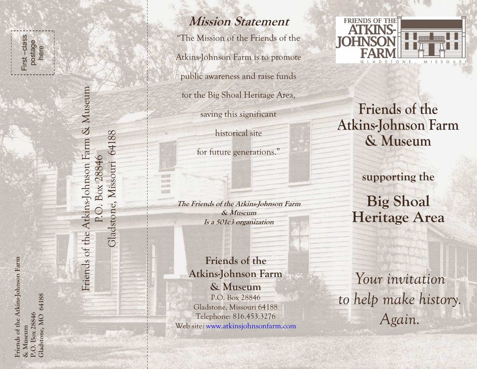First –class postage here

> Friends of the Atkins-Johnson Farm & Museum Friends of the Atkins-Johnson Farm & Museum Missouri 64188 Gladstone, Missouri 64188 P.O. Box 28846 P.O. Box 28846 Gladstone,

another

## **Mission Statement**

"The Mission of the Friends of the Atkins -Johnson Farm is to promote public awareness and raise funds for the Big Shoal Heritage Area,

saving this significant

historical site

for future generations."

**The Friends of the Atkins-Johnson Farm & Museum Is a 501c3 organization**

**Friends of the Atkins -Johnson Farm & Museum** P.O. Box 28846 Gladstone, Missouri 64188 Telephone: 816.453.3276 Web site: www.atkinsjohnsonfarm.com



**Friends of the Atkins -Johnson Farm & Museum**

**supporting the**

**Big Shoal Heritage Area**

*Your invitation to help make history. Again.*

**Friends of the Atkins-Johnson Farm**  Friends of the Atkins-Johnson Farm Gladstone, MO 64188 **Gladstone, MO 64188 & Museum**<br>**P.O. Box 28846 P.O. Box 28846**